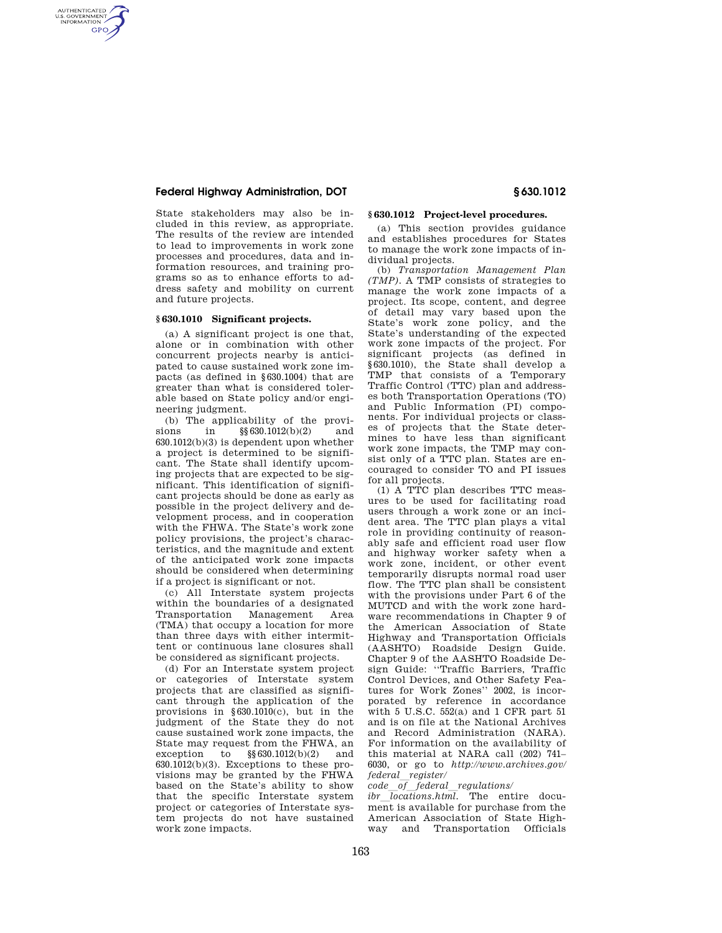## **Federal Highway Administration, DOT § 630.1012**

AUTHENTICATED<br>U.S. GOVERNMENT<br>INFORMATION **GPO** 

> State stakeholders may also be included in this review, as appropriate. The results of the review are intended to lead to improvements in work zone processes and procedures, data and information resources, and training programs so as to enhance efforts to address safety and mobility on current and future projects.

#### **§ 630.1010 Significant projects.**

(a) A significant project is one that, alone or in combination with other concurrent projects nearby is anticipated to cause sustained work zone impacts (as defined in §630.1004) that are greater than what is considered tolerable based on State policy and/or engineering judgment.

(b) The applicability of the provisions in §§630.1012(b)(2) and 630.1012(b)(3) is dependent upon whether a project is determined to be significant. The State shall identify upcoming projects that are expected to be significant. This identification of significant projects should be done as early as possible in the project delivery and development process, and in cooperation with the FHWA. The State's work zone policy provisions, the project's characteristics, and the magnitude and extent of the anticipated work zone impacts should be considered when determining if a project is significant or not.

(c) All Interstate system projects within the boundaries of a designated Transportation Management Area (TMA) that occupy a location for more than three days with either intermittent or continuous lane closures shall be considered as significant projects.

(d) For an Interstate system project or categories of Interstate system projects that are classified as significant through the application of the provisions in §630.1010(c), but in the judgment of the State they do not cause sustained work zone impacts, the State may request from the FHWA, an exception to §§630.1012(b)(2) and 630.1012(b)(3). Exceptions to these provisions may be granted by the FHWA based on the State's ability to show that the specific Interstate system project or categories of Interstate system projects do not have sustained work zone impacts.

## **§ 630.1012 Project-level procedures.**

(a) This section provides guidance and establishes procedures for States to manage the work zone impacts of individual projects.

(b) *Transportation Management Plan (TMP).* A TMP consists of strategies to manage the work zone impacts of a project. Its scope, content, and degree of detail may vary based upon the State's work zone policy, and the State's understanding of the expected work zone impacts of the project. For significant projects (as defined in §630.1010), the State shall develop a TMP that consists of a Temporary Traffic Control (TTC) plan and addresses both Transportation Operations (TO) and Public Information (PI) components. For individual projects or classes of projects that the State determines to have less than significant work zone impacts, the TMP may consist only of a TTC plan. States are encouraged to consider TO and PI issues for all projects.

(1) A TTC plan describes TTC measures to be used for facilitating road users through a work zone or an incident area. The TTC plan plays a vital role in providing continuity of reasonably safe and efficient road user flow and highway worker safety when a work zone, incident, or other event temporarily disrupts normal road user flow. The TTC plan shall be consistent with the provisions under Part 6 of the MUTCD and with the work zone hardware recommendations in Chapter 9 of the American Association of State Highway and Transportation Officials (AASHTO) Roadside Design Guide. Chapter 9 of the AASHTO Roadside Design Guide: ''Traffic Barriers, Traffic Control Devices, and Other Safety Features for Work Zones'' 2002, is incorporated by reference in accordance with 5 U.S.C. 552(a) and 1 CFR part 51 and is on file at the National Archives and Record Administration (NARA). For information on the availability of this material at NARA call (202) 741– 6030, or go to *http://www.archives.gov/ federal\_register/*<br>*code of federal regulations/* 

*code*l*of*l*federal*l*regulations/ ibr*<sub>l</sub>locations.html. The entire docu-<br>ment is available for purchase from the ment is available for purchase from the American Association of State Highway and Transportation Officials